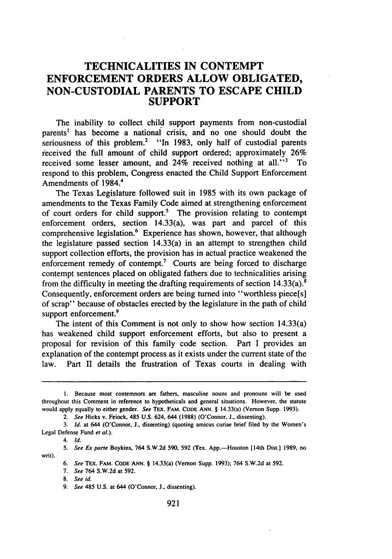# **TECHNICALITIES IN CONTEMPT ENFORCEMENT ORDERS ALLOW OBLIGATED, NON-CUSTODIAL PARENTS TO ESCAPE CHILD SUPPORT**

The inability to collect child support payments from non-custodial parents' has become a national crisis, and no one should doubt the seriousness of this problem.<sup>2</sup> "In 1983, only half of custodial parents received the full amount of child support ordered; approximately 26% received some lesser amount, and  $24\%$  received nothing at all.<sup> $13$ </sup> To respond to this problem, Congress enacted the Child Support Enforcement Amendments of 1984. <sup>4</sup>

The Texas Legislature followed suit in 1985 with its own package of amendments to the Texas Family Code aimed at strengthening enforcement of court orders for child support.<sup>5</sup> The provision relating to contempt enforcement orders, section 14.33(a), was part and parcel of this comprehensive legislation.<sup>6</sup> Experience has shown, however, that although the legislature passed section 14.33(a) in an attempt to strengthen child support collection efforts, the provision has in actual practice weakened the enforcement remedy of contempt.<sup>7</sup> Courts are being forced to discharge contempt sentences placed on obligated fathers due to technicalities arising from the difficulty in meeting the drafting requirements of section  $14.33(a)$ .<sup>8</sup> Consequently, enforcement orders are being turned into "worthless piece[s] of scrap" because of obstacles erected by the legislature in the path of child support enforcement.<sup>9</sup>

The intent of this Comment is not only to show how section 14.33(a) has weakened child support enforcement efforts, but also to present a proposal for revision of this family code section. Part I provides an explanation of the contempt process as it exists under the current state of the law. Part II details the frustration of Texas courts in dealing with

4. **Id.**

writ).

<sup>1.</sup> Because most contemnors are fathers, masculine nouns and pronouns will be used throughout this Comment in reference to hypotheticals and general situations. However, the statute would apply equally to either gender. *See* TEX. FAM. CODE ANN. § 14.33(a) (Vernon Supp. 1993).

<sup>2.</sup> *See* Hicks v. Feiock, 485 U.S. 624, 644 (1988) (O'Connor, **J.,** dissenting).

<sup>3.</sup> **Id.** at 644 (O'Connor, **J.,** dissenting) (quoting amicus curiae brief **filed** by the Women's Legal Defense Fund *et al.).*

<sup>5.</sup> See Ex parte Boykins, 764 S.W.2d 590, 592 (Tex. App.-Houston [14th Dist.] 1989, no

<sup>6.</sup> See TEX. FAM. **CODE ANN.** § 14.33(a) (Vernon Supp. 1993); 764 S.W.2d at **592.**

<sup>7.</sup> See 764 S.W.2d at 592.

<sup>8.</sup> See id.

<sup>9.</sup> See 485 U.S. at 644 (O'Connor, J., dissenting).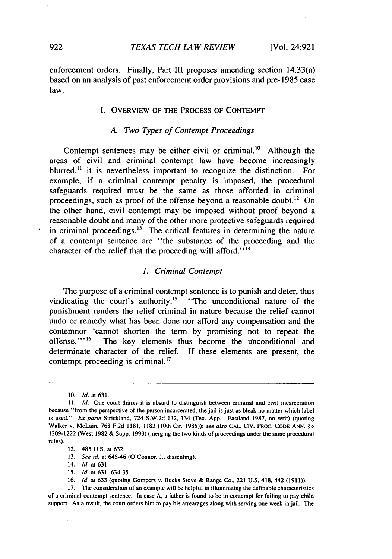enforcement orders. Finally, Part III proposes amending section 14.33(a) based on an analysis of past enforcement order provisions and pre-1985 case law.

### I. OVERVIEW OF THE PROCESS OF CONTEMPT

### *A. Two Types of Contempt Proceedings*

Contempt sentences may be either civil or criminal.<sup>10</sup> Although the areas of civil and criminal contempt law have become increasingly blurred,<sup>11</sup> it is nevertheless important to recognize the distinction. For example, if a criminal contempt penalty is imposed, the procedural safeguards required must be the same as those afforded in criminal proceedings, such as proof of the offense beyond a reasonable doubt.<sup>12</sup> On the other hand, civil contempt may be imposed without proof beyond a reasonable doubt and many of the other more protective safeguards required in criminal proceedings. $13$  The critical features in determining the nature of a contempt sentence are "the substance of the proceeding and the character of the relief that the proceeding will afford."<sup>14</sup>

### *1. Criminal Contempt*

The purpose of a criminal contempt sentence is to punish and deter, thus vindicating the court's authority.<sup>15</sup> "The unconditional nature of the punishment renders the relief criminal in nature because the relief cannot undo or remedy what has been done nor afford any compensation and the contemnor 'cannot shorten the term by promising not to repeat the offense."<sup>16</sup> The key elements thus become the unconditional and determinate character of the relief. If these elements are present, the contempt proceeding is criminal. $^{17}$ 

<sup>10.</sup> *Id.* at 631.

<sup>11.</sup> *Id.* One court thinks it is absurd to distinguish between criminal and civil incarceration because "from the perspective of the person incarcerated, the jail is just as bleak no matter which label is used." Ex parte Strickland, 724 S.W.2d 132, 134 (Tex. App.--Eastland 1987, no writ) (quoting Walker v. McLain, 768 F.2d 1181, 1183 (10th Cir. 1985)); *see also* CAL. **CIV.** PROC. **CODE ANN.** §§ 1209-1222 (West 1982 & Supp. 1993) (merging the two kinds of proceedings under the same procedural rules).

<sup>12. 485</sup> U.S. at 632.

<sup>13.</sup> *See id.* at 645-46 (O'Connor, **J.,** dissenting).

<sup>14.</sup> *Id.* at 631.

<sup>15.</sup> *Id.* at 631, 634-35.

<sup>16.</sup> *Id.* at 633 (quoting Gompers v. Bucks Stove & Range Co., 221 U.S. 418, 442 (1911)).

**<sup>17.</sup>** The consideration of an example will be helpful in illuminating the definable characteristics of a criminal contempt sentence. In case A, a father is found to be in contempt for failing to pay child support. As a result, the court orders him to pay his arrearages along with serving one week in jail. The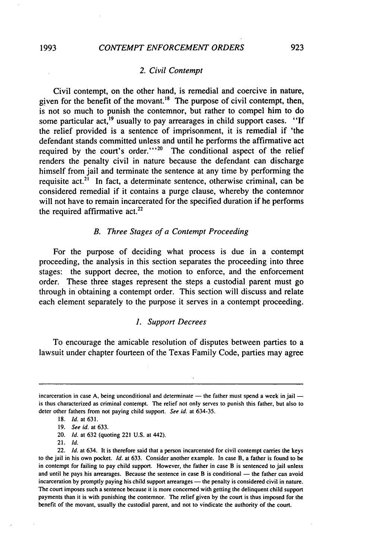#### *2. Civil Contempt*

Civil contempt, on the other hand, is remedial and coercive in nature, given for the benefit of the movant.<sup>18</sup> The purpose of civil contempt, then, is not so much to punish the contemnor, but rather to compel him to do some particular act, <sup>19</sup> usually to pay arrearages in child support cases. "If the relief provided is a sentence of imprisonment, it is remedial if 'the defendant stands committed unless and until he performs the affirmative act required by the court's order." $20$  The conditional aspect of the relief renders the penalty civil in nature because the defendant can discharge himself from jail and terminate the sentence at any time by performing the requisite act.<sup>21</sup> In fact, a determinate sentence, otherwise criminal, can be considered remedial if it contains a purge clause, whereby the contemnor will not have to remain incarcerated for the specified duration if he performs the required affirmative  $act.^{22}$ 

#### *B. Three Stages of a Contempt Proceeding*

For the purpose of deciding what process is due in a contempt proceeding, the analysis in this section separates the proceeding into three stages: the support decree, the motion to enforce, and the enforcement order. These three stages represent the steps a custodial parent must go through in obtaining a contempt order. This section will discuss and relate each element separately to the purpose it serves in a contempt proceeding.

## *1. Support Decrees*

To encourage the amicable resolution of disputes between parties to a lawsuit under chapter fourteen of the Texas Family Code, parties may agree

21. *Id.*

incarceration in case A, being unconditional and determinate - the father must spend a week in jail is thus characterized as criminal contempt. The relief not only serves to punish this father, but also to deter other fathers from not paying child support. *See id.* at 634-35.

<sup>18.</sup> *Id.* at 631.

<sup>19.</sup> *See id.* at 633.

<sup>20.</sup> *Id.* at 632 (quoting 221 U.S. at 442).

<sup>22.</sup> *Id.* at 634. It is therefore said that a person incarcerated for civil contempt carries the keys to the jail in his own pocket. *Id.* at 633. Consider another example. In case B, a father is found to be in contempt for failing to pay child support. However, the father in case B is sentenced to jail unless and until he pays his arrearages. Because the sentence in case B is conditional - the father can avoid incarceration by promptly paying his child support arrearages - the penalty is considered civil in nature. The court imposes such a sentence because it is more concerned with getting the delinquent child support payments than it is with punishing the contemnor. The relief given by the court is thus imposed for the benefit of the movant, usually the custodial parent, and not to vindicate the authority of the court.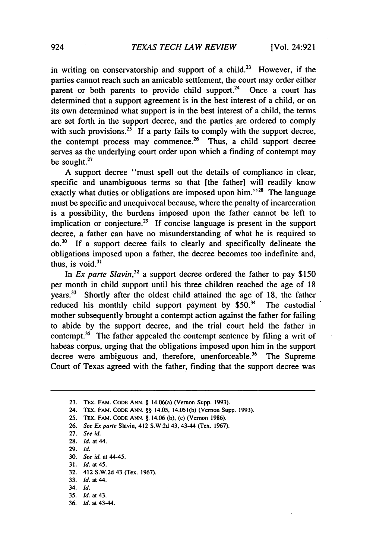in writing on conservatorship and support of a child.<sup>23</sup> However, if the parties cannot reach such an amicable settlement, the court may order either parent or both parents to provide child support.<sup>24</sup> Once a court has determined that a support agreement is in the best interest of a child, or on its own determined what support is in the best interest of a child, the terms are set forth in the support decree, and the parties are ordered to comply with such provisions.<sup>25</sup> If a party fails to comply with the support decree, the contempt process may commence.<sup>26</sup> Thus, a child support decree serves as the underlying court order upon which a finding of contempt may be sought.<sup>27</sup>

A support decree "must spell out the details of compliance in clear, specific and unambiguous terms so that [the father] will readily know exactly what duties or obligations are imposed upon him.<sup> $28$ </sup> The language must be specific and unequivocal because, where the penalty of incarceration is a possibility, the burdens imposed upon the father cannot be left to implication or conjecture.<sup>29</sup> If concise language is present in the support decree, a father can have no misunderstanding of what he is required to **do.30** If a support decree fails to clearly and specifically delineate the obligations imposed upon a father, the decree becomes too indefinite and, thus, is void. $31$ 

In *Ex parte Slavin*<sup>32</sup> a support decree ordered the father to pay \$150 per month in child support until his three children reached the age of 18 years.33 Shortly after the oldest child attained the age of 18, the father reduced his monthly child support payment by  $$50.<sup>34</sup>$  The custodial mother subsequently brought a contempt action against the father for failing to abide by the support decree, and the trial court held the father in contempt.<sup>35</sup> The father appealed the contempt sentence by filing a writ of habeas corpus, urging that the obligations imposed upon him in the support decree were ambiguous and, therefore, unenforceable.<sup>36</sup> The Supreme Court of Texas agreed with the father, finding that the support decree was

- **29.** *Id.*
- **30.** *See id.* at 44-45.
- 31. **Id.** at 45.
- 32. 412 **S.W.2d** 43 (Tex. **1967).**
- 33. *Id.* at 44.
- 34. *Id.*
- **35.** *Id.* at 43. **36.** *Id.* at 43-44.

924

**<sup>23.</sup> TEX.** FAM. **CODE ANN.** § 14.06(a) (Vernon **Supp. 1993).**

**<sup>24.</sup>** TEx. **FAM. CODE ANN.** §§ 14.05, 14.051(b) (Vernon Supp. **1993).**

**<sup>25.</sup> TEx.** FAM. **CODE ANN.** §. 14.06 **(b),** (c) **(Vernon 1986).**

**<sup>26.</sup>** *See* **Ex parte** Slavin, **412 S.W.2d 43,** 43-44 (Tex. **1967).**

**<sup>27.</sup>** *See id.*

**<sup>28.</sup>** *Id.* **at** 44.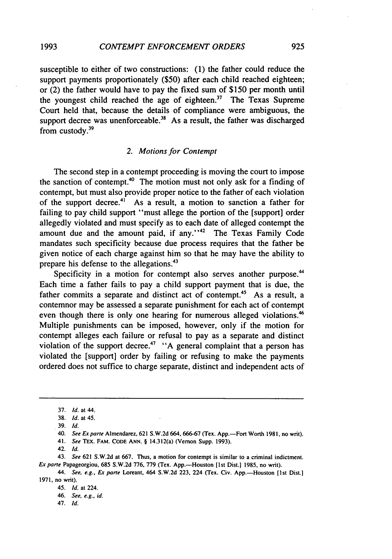susceptible to either of two constructions: **(1)** the father could reduce the support payments proportionately (\$50) after each child reached eighteen; or (2) the father would have to pay the fixed sum of \$150 per month until the youngest child reached the age of eighteen. $37$  The Texas Supreme Court held that, because the details of compliance were ambiguous, the support decree was unenforceable.<sup>38</sup> As a result, the father was discharged from custody.39

#### *2. Motions for Contempt*

The second step in a contempt proceeding is moving the court to impose the sanction of contempt.<sup>40</sup> The motion must not only ask for a finding of contempt, but must also provide proper notice to the father of each violation of the support decree.4' As a result, a motion to sanction a father for failing to pay child support "must allege the portion of the [support] order allegedly violated and must specify as to each date of alleged contempt the amount due and the amount paid, if any."<sup>42</sup> The Texas Family Code mandates such specificity because due process requires that the father be given notice of each charge against him so that he may have the ability to prepare his defense to the allegations.<sup>43</sup>

Specificity in a motion for contempt also serves another purpose.<sup>44</sup> Each time a father fails to pay a child support payment that is due, the father commits a separate and distinct act of contempt.<sup>45</sup> As a result, a contemnor may be assessed a separate punishment for each act of contempt even though there is only one hearing for numerous alleged violations.<sup>46</sup> Multiple punishments can be imposed, however, only if the motion for contempt alleges each failure or refusal to pay as a separate and distinct violation of the support decree.<sup>47</sup> "A general complaint that a person has violated the [support] order by failing or refusing to make the payments ordered does not suffice to charge separate, distinct and independent acts of

41. *See* TEx. FAM. **CODE ANN.** § 14.312(a) (Vernon Supp. 1993).

43. *See* 621 **S.W.2d** at 667. Thus, a motion for contempt is similar to a criminal indictment. *Ex parte Papageorgiou, 685 S.W.2d 776, 779 (Tex. App.*-Houston [1st Dist.] 1985, no writ).

<sup>37.</sup> *Id.* at 44.

<sup>38.</sup> *Id.* at 45.

<sup>39.</sup> **Id.**

<sup>40.</sup> *See Ex parte* Almendarez. **621 S.W.2d** 664, 666-67 (Tex. App.-Fort Worth **1981,** no writ).

<sup>42.</sup> *Id.*

*<sup>44.</sup> See, e.g.,* **Er** *parte* Loreant, 464 **S.W.2d** 223, 224 (Tex. Civ. App.-Houston [1st Dist.) 1971, no writ).

<sup>45.</sup> *Id.* at 224.

<sup>46.</sup> *See, e.g., id.*

<sup>47.</sup> *Id.*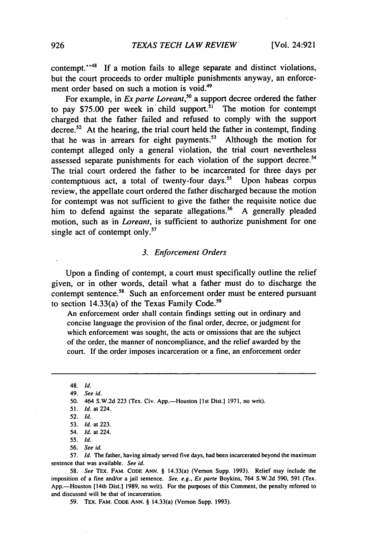contempt."<sup>48</sup> If a motion fails to allege separate and distinct violations, but the court proceeds to order multiple punishments anyway, an enforcement order based on such a motion is void.<sup>49</sup>

For example, in *Ex parte Loreant*,<sup>50</sup> a support decree ordered the father to pay \$75.00 per week in child support.<sup>51</sup> The motion for contempt charged that the father failed and refused to comply with the support decree.<sup>52</sup> At the hearing, the trial court held the father in contempt, finding that he was in arrears for eight payments.<sup>53</sup> Although the motion for contempt alleged only a general violation, the trial court nevertheless assessed separate punishments for each violation of the support decree.<sup>54</sup> The trial court ordered the father to be incarcerated for three days per contemptuous act, a total of twenty-four days.<sup>55</sup> Upon habeas corpus review, the appellate court ordered the father discharged because the motion for contempt was not sufficient to give the father the requisite notice due him to defend against the separate allegations.<sup>56</sup> A generally pleaded motion, such as in *Loreant,* is sufficient to authorize punishment for one single act of contempt only.<sup>57</sup>

### *3. Enforcement Orders*

Upon a finding of contempt, a court must specifically outline the relief given, or in other words, detail what a father must do to discharge the contempt sentence.<sup>58</sup> Such an enforcement order must be entered pursuant to section 14.33(a) of the Texas Family Code.<sup>59</sup>

An enforcement order shall contain findings setting out in ordinary and concise language the provision of the final order, decree, or judgment for which enforcement was sought, the acts or omissions that are the subject of the order, the manner of noncompliance, and the relief awarded by the court. If the order imposes incarceration or a fine, an enforcement order

57. *Id.* The father, having already served five days, had been incarcerated beyond the maximum sentence that was available. *See id.*

58. *See* TEx. FAM. **CODE ANN.** § 14.33(a) (Vernon Supp. 1993). Relief may include the imposition of a fine and/or a jail sentence. *See, e.g., Ex parte* Boykins, 764 S.W.2d 590, 591 (Tex. App.—Houston [14th Dist.] 1989, no writ). For the purposes of this Comment, the penalty referred to and discussed will be that of incarceration.

59. TEx. FAM. CODE ANN. § 14.33(a) (Vernon Supp. 1993).

<sup>48.</sup> *Id.*

<sup>49.</sup> *See id.*

<sup>50. 464</sup> S.W.2d 223 (Tex. Civ. App.-Houston [1st Dist.] 1971, no writ).

<sup>51.</sup> *Id.* at 224.

<sup>52.</sup> *Id.*

<sup>53.</sup> *Id.* at 223.

<sup>54.</sup> *Id.* at 224.

<sup>55.</sup> *Id.*

<sup>56.</sup> *See id.*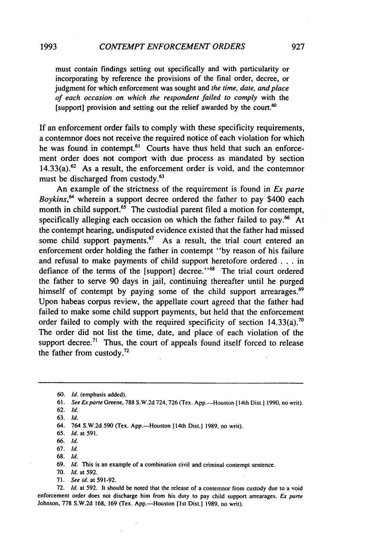**1993**

must contain findings setting out specifically and with particularity or incorporating by reference the provisions of the final order, decree, or judgment for which enforcement was sought and *the time, date, and place of each occasion on which the respondent failed to comply* with the [support] provision and setting out the relief awarded by the court. $60$ 

If an enforcement order fails to comply with these specificity requirements, a contemnor does not receive the required notice of each violation for which he was found in contempt.<sup> $61$ </sup> Courts have thus held that such an enforcement order does not comport with due process as mandated by section  $14.33(a)$ .<sup>62</sup> As a result, the enforcement order is void, and the contemnor must be discharged from custody.<sup>63</sup>

An example of the strictness of the requirement is found in *Ex* parte *Boykins, <sup>64</sup>*wherein a support decree ordered the father to pay \$400 each month in child support.<sup>65</sup> The custodial parent filed a motion for contempt, specifically alleging each occasion on which the father failed to pay.<sup>66</sup> At the contempt hearing, undisputed evidence existed that the father had missed some child support payments. $67$  As a result, the trial court entered an enforcement order holding the father in contempt "by reason of his failure and refusal to make payments of child support heretofore ordered . .**.**in defiance of the terms of the [support] decree."<sup>68</sup> The trial court ordered the father to serve 90 days in jail, continuing thereafter until he purged himself of contempt by paying some of the child support arrearages. $69$ Upon habeas corpus review, the appellate court agreed that the father had failed to make some child support payments, but held that the enforcement order failed to comply with the required specificity of section  $14.33(a)$ .<sup>70</sup> The order did not list the time, date, and place of each violation of the support decree.<sup>71</sup> Thus, the court of appeals found itself forced to release the father from custody.<sup>72</sup>

72. **Id.** at 592. It should be noted that the release of a contemnor from custody due to a void enforcement order does not discharge him from his duty to pay child support arrearages. Ex parte Johnson, 778 S.W.2d 168, 169 (Tex. App.-Houston [1st Dist.] 1989, no writ).

<sup>60.</sup> **Id.** (emphasis added).

<sup>61.</sup> **See** Exparre Greene, 788 S.W.2d 724,726 (Tex. App.-Houston (14th Dist.] 1990, no writ).

**<sup>62.</sup> Id.**

**<sup>63.</sup> Id.**

<sup>64. 764</sup> S.W.2d 590 (Tex. App.-Houston [14th Dist.] 1989, no writ).

<sup>65.</sup> Id. at 591.

**<sup>66.</sup>** Id.

**<sup>67.</sup> Id.**

**<sup>68.</sup> Id.**

**<sup>69.</sup> Id.** This is an example of a combination civil and criminal contempt sentence.

<sup>70.</sup> Id. at 592.

<sup>71.</sup> See id. at 591-92.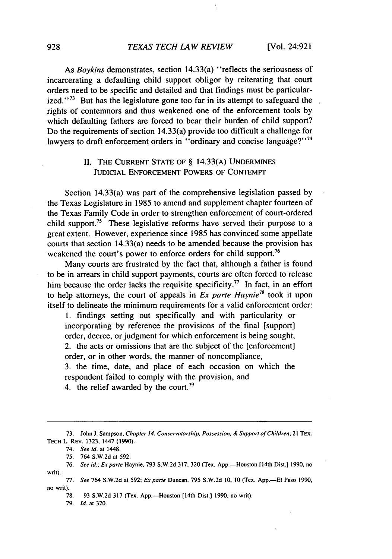$\mathbf{I}$ 

As *Boykins* demonstrates, section 14.33(a) "reflects the seriousness of incarcerating a defaulting child support obligor by reiterating that court orders need to be specific and detailed and that findings must be particularized."<sup>73</sup> But has the legislature gone too far in its attempt to safeguard the rights of contemnors and thus weakened one of the enforcement tools by which defaulting fathers are forced to bear their burden of child support? Do the requirements of section 14.33(a) provide too difficult a challenge for lawyers to draft enforcement orders in "ordinary and concise language?"<sup>74</sup>

# II. **THE** CURRENT **STATE OF** § 14.33(A) **UNDERMINES JUDICIAL ENFORCEMENT** POWERS OF CONTEMPT

Section 14.33(a) was part of the comprehensive legislation passed by the Texas Legislature in 1985 to amend and supplement chapter fourteen of the Texas Family Code in order to strengthen enforcement of court-ordered child support.<sup>75</sup> These legislative reforms have served their purpose to a great extent. However, experience since 1985 has convinced some appellate courts that section 14.33(a) needs to be amended because the provision has weakened the court's power to enforce orders for child support.<sup>76</sup>

Many courts are frustrated by the fact that, although a father is found to be in arrears in child support payments, courts are often forced to release him because the order lacks the requisite specificity.<sup>77</sup> In fact, in an effort to help attorneys, the court of appeals in *Ex parte Haynie78* took it upon itself to delineate the minimum requirements for a valid enforcement order:

1. findings setting out specifically and with particularity or incorporating by reference the provisions of the final [support] order, decree, or judgment for which enforcement is being sought, 2. the acts or omissions that are the subject of the [enforcement] order, or in other words, the manner of noncompliance, 3. the time, date, and place of each occasion on which the

respondent failed to comply with the provision, and

4. the relief awarded by the court.<sup>79</sup>

**<sup>73.</sup>** John J. Sampson, Chapter 14. Conservatorship, Possession, & Support of Children, 21 **TEX. TECH** L. REV. 1323, 1447 (1990).

<sup>74.</sup> See id. at 1448.

<sup>75. 764</sup> S.w.2d at 592.

<sup>76.</sup> See id.; *Ex parte* Haynie, 793 S.W.2d 317, 320 (Tex. App.-Houston [14th Dist.] 1990, no writ).

<sup>77.</sup> See 764 S.W.2d at 592; Ex parte Duncan, 795 S.W.2d 10, 10 (Tex. App.-El Paso 1990, no writ).

<sup>78. 93</sup> S.W.2d 317 (Tex. App.—Houston [14th Dist.] 1990, no writ).

<sup>79.</sup> *Id.* at 320.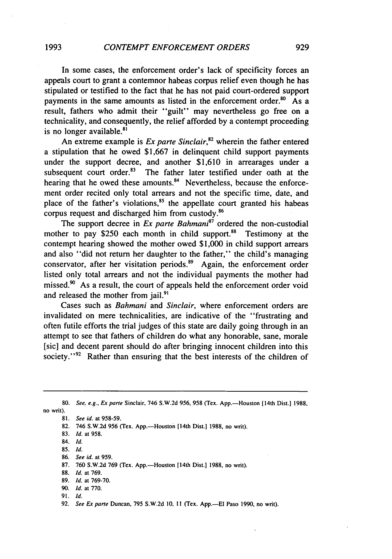In some cases, the enforcement order's lack of specificity forces an appeals court to grant a contemnor habeas corpus relief even though he has stipulated or testified to the fact that he has not paid court-ordered support payments in the same amounts as listed in the enforcement order.<sup>80</sup> As a result, fathers who admit their "guilt" may nevertheless go free on a technicality, and consequently, the relief afforded by a contempt proceeding is no longer available.<sup>81</sup>

An extreme example is *Ex parte Sinclair*,<sup>82</sup> wherein the father entered a stipulation that he owed \$1,667 in delinquent child support payments under the support decree, and another \$1,610 in arrearages under a subsequent court order.<sup>83</sup> The father later testified under oath at the hearing that he owed these amounts.<sup>84</sup> Nevertheless, because the enforcement order recited only total arrears and not the specific time, date, and place of the father's violations, $85$  the appellate court granted his habeas corpus request and discharged him from custody.<sup>86</sup>

The support decree in *Ex parte Bahmani<sup>87</sup>* ordered the non-custodial mother to pay \$250 each month in child support.<sup>88</sup> Testimony at the contempt hearing showed the mother owed \$1,000 in child support arrears and also "did not return her daughter to the father," the child's managing conservator, after her visitation periods.<sup>89</sup> Again, the enforcement order listed only total arrears and not the individual payments the mother had missed. $90$  As a result, the court of appeals held the enforcement order void and released the mother from jail.<sup>9</sup>

Cases such as *Bahmani* and *Sinclair,* where enforcement orders are invalidated on mere technicalities, are indicative of the "frustrating and often futile efforts the trial judges of this state are daily going through in an attempt to see that fathers of children do what any honorable, sane, morale [sic] and decent parent should do after bringing innocent children into this society." $92$  Rather than ensuring that the best interests of the children of

no writ).

81. *See id.* at 958-59.

- 82. 746 S.W.2d 956 (Tex. App.-Houston [14th Dist.] 1988, no writ).
- 83. *Id.* at 958.
- 84. *Id.*
- **85.** *Id.*
- 86. *See id.* at 959.
- **87.** 760 **S.W.2d** 769 (Tex. App.-Houson [14th Dist.] 1988, no writ).
- 88. *d.* at 769.
- 89. *Id.* at 769-70.
- 90. *Id.* at 770.
- 91. *Id.*

<sup>80.</sup> *See, e.g., Ex* parte Sinclair, 746 **S.W.2d** 956, 958 (Tex. App.-Houston [14th Dist.] 1988,

<sup>92.</sup> See Ex parte Duncan, 795 S.W.2d **10, 11** (Tex. App.-El Paso 1990, no writ).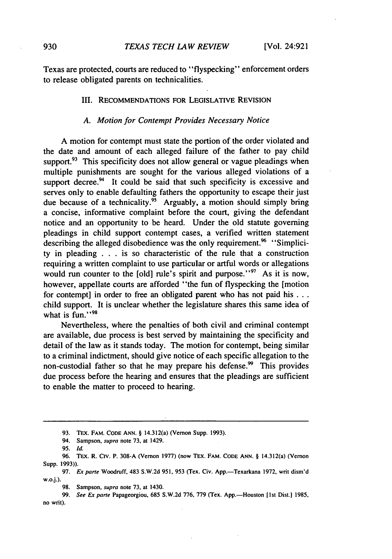Texas are protected, courts are reduced to "flyspecking" enforcement orders to release obligated parents on technicalities.

#### III. RECOMMENDATIONS FOR LEGISLATIVE REVISION

#### *A. Motion for Contempt Provides Necessary Notice*

A motion for contempt must state the portion of the order violated and the date and amount of each alleged failure of the father to pay child support. $93$  This specificity does not allow general or vague pleadings when multiple punishments are sought for the various alleged violations of a support decree. $94$  It could be said that such specificity is excessive and serves only to enable defaulting fathers the opportunity to escape their just due because of a technicality.<sup>95</sup> Arguably, a motion should simply bring a concise, informative complaint before the court, giving the defendant notice and an opportunity to be heard. Under the old statute governing pleadings in child support contempt cases, a verified written statement describing the alleged disobedience was the only requirement.<sup>96</sup> "Simplicity in pleading . . . is so characteristic of the rule that a construction requiring a written complaint to use particular or artful words or allegations would run counter to the [old] rule's spirit and purpose."<sup>97</sup> As it is now, however, appellate courts are afforded "the fun of flyspecking the [motion for contempt] in order to free an obligated parent who has not paid **his...** child support. It is unclear whether the legislature shares this same idea of what is fun." $\frac{98}{9}$ 

Nevertheless, where the penalties of both civil and criminal contempt are available, due process is best served by maintaining the specificity and detail of the law as it stands today. The motion for contempt, being similar to a criminal indictment, should give notice of each specific allegation to the non-custodial father so that he may prepare his defense.<sup>99</sup> This provides due process before the hearing and ensures that the pleadings are sufficient to enable the matter to proceed to hearing.

**<sup>93.</sup>** TEx. FAM. **CODE ANN.** § 14.312(a) (Vernon Supp. 1993).

<sup>94.</sup> Sampson, supra note **73,** at 1429.

**<sup>95.</sup> Id.**

<sup>96.</sup> TEx. R. Civ. P. 308-A (Vernon 1977) (now TEx. FAM. **CODE ANN.** § 14.312(a) (Vernon Supp. 1993)).

<sup>97.</sup> *Ex parte Woodruff, 483 S.W.2d 951, 953 (Tex. Civ. App.-Texarkana 1972, writ dism'd* **w.o.j.).**

**<sup>98.</sup>** Sampson, supra note **73,** at 1430.

**<sup>99.</sup>** See Ex **parte** Papageorgiou, **685 S.W.2d 776, 779 (Tex.** App.-Houston **[st** Dist.) **1985,** no writ).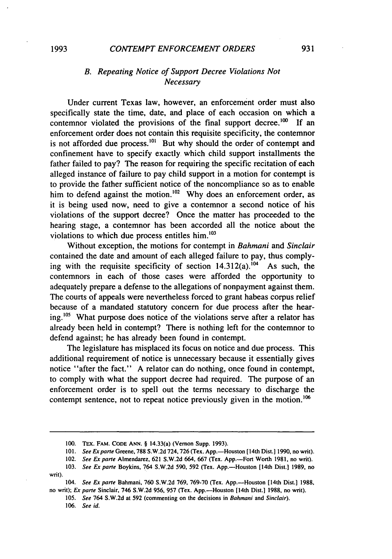### *CONTEMPT ENFORCEMENT ORDERS*

# *B. Repeating Notice of Support Decree Violations Not Necessary*

Under current Texas law, however, an enforcement order must also specifically state the time, date, and place of each occasion on which a contemnor violated the provisions of the final support decree.<sup>100</sup> If an enforcement order does not contain this requisite specificity, the contemnor is not afforded due process.<sup>101</sup> But why should the order of contempt and confinement have to specify exactly which child support installments the father failed to pay? The reason for requiring the specific recitation of each alleged instance of failure to pay child support in a motion for contempt is to provide the father sufficient notice of the noncompliance so as to enable him to defend against the motion.<sup>102</sup> Why does an enforcement order, as it is being used now, need to give a contemnor a second notice of his violations of the support decree? Once the matter has proceeded to the hearing stage, a contemnor has been accorded all the notice about the violations to which due process entitles  $him.$ <sup>103</sup>

Without exception, the motions for contempt in *Bahmani* and *Sinclair* contained the date and amount of each alleged failure to pay, thus complying with the requisite specificity of section  $14.312(a)$ .<sup>104</sup> As such, the contemnors in each of those cases were afforded the opportunity to adequately prepare a defense to the allegations of nonpayment against them. The courts of appeals were nevertheless forced to grant habeas corpus relief because of a mandated statutory concern for due process after the hear**ing.105** What purpose does notice of the violations serve after a relator has already been held in contempt? There is nothing left for the contemnor to defend against; he has already been found in contempt.

The legislature has misplaced its focus on notice and due process. This additional requirement of notice is unnecessary because it essentially gives notice "after the fact." A relator can do nothing, once found in contempt, to comply with what the support decree had required. The purpose of an enforcement order is to spell out the terms necessary to discharge the contempt sentence, not to repeat notice previously given in the motion.<sup>106</sup>

<sup>100.</sup> TEX. FAM. **CODE ANN.** § 14.33(a) (Vernon Supp. 1993).

<sup>101.</sup> *See Ex parte* Greene, 788 S.W.2d 724, 726 (Tex. App.—Houston [14th Dist.] 1990, no writ).

<sup>102.</sup> *See Exparte* Almendarez, 621 S.W.2d 664, 667 (Tex. App.-Fort Worth **1981,** no writ).

<sup>103.</sup> *See Ex parte* Boykins, 764 S.W.2d 590, 592 (Tex. App.-Houston [14th Dist.] 1989, no writ).

<sup>104.</sup> *See* Ex *pare* Bahmani, 760 S.W.2d 769, 769-70 (Tex. App.-Houston [14th Dist.] 1988, no writ); Ex *pare* Sinclair, 746 S.W.2d 956, 957 (Tex. App.-Houston [14th Dist.] 1988, no writ).

<sup>105.</sup> See 764 S.W.2d at 592 (commenting on the decisions in Bahmani and Sinclair).

<sup>106.</sup> *See id.*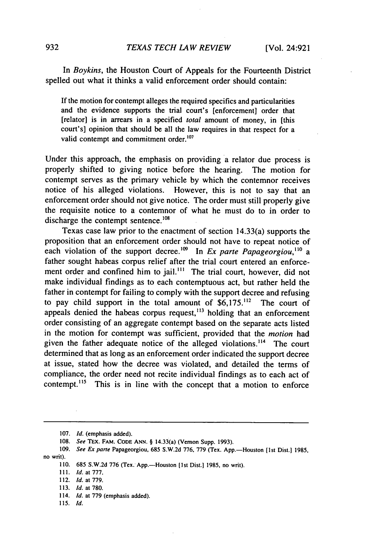In *Boykins,* the Houston Court of Appeals for the Fourteenth District spelled out what it thinks a valid enforcement order should contain:

If the motion for contempt alleges the required specifics and particularities and the evidence supports the trial court's [enforcement] order that [relator] is in arrears in a specified *total* amount of money, in [this court's] opinion that should be all the law requires in that respect for a valid contempt and commitment order.<sup>107</sup>

Under this approach, the emphasis on providing a relator due process is properly shifted to giving notice before the hearing. The motion for contempt serves as the primary vehicle by which the contemnor receives notice of his alleged violations. However, this is not to say that an enforcement order should not give notice. The order must still properly give the requisite notice to a contemnor of what he must do to in order to discharge the contempt sentence.<sup>108</sup>

Texas case law prior to the enactment of section 14.33(a) supports the proposition that an enforcement order should not have to repeat notice of each violation of the support decree.<sup>109</sup> In *Ex parte Papageorgiou*,<sup>110</sup> a father sought habeas corpus relief after the trial court entered an enforcement order and confined him to jail.<sup>111</sup> The trial court, however, did not make individual findings as to each contemptuous act, but rather held the father in contempt for failing to comply with the support decree and refusing to pay child support in the total amount of  $$6,175$ .<sup>112</sup> The court of appeals denied the habeas corpus request, $^{113}$  holding that an enforcement order consisting of an aggregate contempt based on the separate acts listed in the motion for contempt was sufficient, provided that the *motion* had given the father adequate notice of the alleged violations.<sup>114</sup> The court determined that as long as an enforcement order indicated the support decree at issue, stated how the decree was violated, and detailed the terms of compliance, the order need not recite individual findings as to each act of contempt.<sup>115</sup> This is in line with the concept that a motion to enforce

110. 685 S.W.2d 776 (Tex. App.-Houston **(Ist** Dist.] 1985, no writ).

111. *Id. at 777.*

112. *Id.* at 779.

113. *Id.* at 780.

- 114. *Id.* at 779 (emphasis added).
- 115. *Id.*

<sup>107.</sup> *Id.* (emphasis added).

<sup>108.</sup> *See* TEX. **FAM. CODE ANN.** § 14.33(a) (Vernon Supp. 1993).

<sup>109.</sup> *See Ex* parte Papageorgiou, 685 **S.W.2d** 776, 779 (Tex. App.-Houston [lst Dist.) 1985, no writ).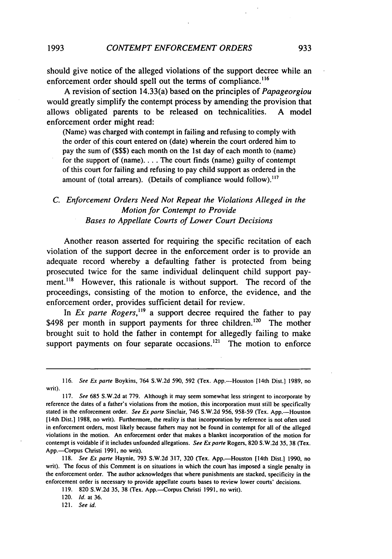should give notice of the alleged violations of the support decree while an enforcement order should spell out the terms of compliance.<sup>116</sup>

**A** revision of section 14.33(a) based on the principles of *Papageorgiou* would greatly simplify the contempt process **by** amending the provision that allows obligated parents to be released on technicalities. **A** model enforcement order might read:

(Name) was charged with contempt in failing and refusing to comply with the order of this court entered on (date) wherein the court ordered him to pay the sum of **(\$\$\$)** each month on the **1st** day of each month to (name) for the support of (name) **....** The court finds (name) guilty of contempt of this court for failing and refusing to pay child support as ordered in the amount of (total arrears). (Details of compliance would follow).<sup>117</sup>

# *C. Enforcement Orders Need Not Repeat the Violations Alleged in the Motion for Contempt to Provide Bases to Appellate Courts of Lower Court Decisions*

Another reason asserted for requiring the specific recitation of each violation of the support decree in the enforcement order is to provide an adequate record whereby a defaulting father is protected from being prosecuted twice for the same individual delinquent child support payment.<sup>118</sup> However, this rationale is without support. The record of the proceedings, consisting of the motion to enforce, the evidence, and the enforcement order, provides sufficient detail for review.

In *Ex parte Rogers,"9* a support decree required the father to pay \$498 per month in support payments for three children.<sup>120</sup> The mother brought suit to hold the father in contempt for allegedly failing to make support payments on four separate occasions.<sup> $121$ </sup> The motion to enforce

**119. 820 S.W.2d 35, 38** (Tex. App.--Corpus Christi **1991,** no writ).

121. See id.

**<sup>116.</sup>** *See Ex parte* Boykins, 764 **S.W.2d 590, 592** (Tex. App.-Houston [14th Dist.] **1989,** no writ).

**<sup>117.</sup>** *See* **685 S.W.2d** at **779.** Although it may seem somewhat less stringent to incorporate **by** reference the dates of a father's violations from the motion, this incorporation must still be specifically stated in the enforcement order. *See Ex pane* Sinclair, 746 **S.W.2d 956, 958-59** (Tex. App.-Houston [14th Dist.] **1988,** no writ). Furthermore, the reality is that incorporation **by** reference is not often used in enforcement orders, most likely because fathers may not be found in contempt for all of the alleged violations in the motion. An enforcement order that makes a blanket incorporation of the motion for contempt is voidable if it includes unfounded allegations. *See Ex parte* Rogers, **820 S.W.2d 35, 38** (Tex. App.-Corpus Christi **1991,** no writ).

**<sup>118.</sup>** *See* Ex **parte** Haynie, **793 S.W.2d 317, 320** (Tex. App.-Houston [14th Dist.] **1990,** no writ). The focus of this Comment is on situations in which the court has imposed a single penalty in the enforcement order. The author acknowledges that where punishments are stacked, specificity in the enforcement order is necessary to provide appellate courts bases to review lower courts' decisions.

<sup>120.</sup> **Id.** at **36.**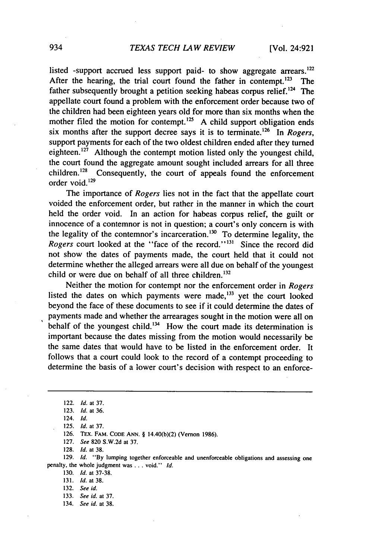listed -support accrued less support paid- to show aggregate arrears.<sup>122</sup> After the hearing, the trial court found the father in contempt.  $123$  The father subsequently brought a petition seeking habeas corpus relief.<sup>124</sup> The appellate court found a problem with the enforcement order because two of the children had been eighteen years old for more than six months when the mother filed the motion for contempt.<sup>125</sup> A child support obligation ends six months after the support decree says it is to terminate.126 In *Rogers,* support payments for each of the two oldest children ended after they turned eighteen.<sup>127</sup> Although the contempt motion listed only the youngest child, the court found the aggregate amount sought included arrears for all three<br>children.<sup>128</sup> Consequently, the court of anneals found the enforcement Consequently, the court of appeals found the enforcement order void.<sup>129</sup>

The importance of *Rogers* lies not in the fact that the appellate court voided the enforcement order, but rather in the manner in which the court held the order void. In an action for habeas corpus relief, the guilt or innocence of a contemnor is not in question; a court's only concern is with the legality of the contemnor's incarceration.<sup>130</sup> To determine legality, the *Rogers* court looked at the "face of the record."<sup>131</sup> Since the record did not show the dates of payments made, the court held that it could not determine whether the alleged arrears were all due on behalf of the youngest child or were due on behalf of all three children.<sup>132</sup>

Neither the motion for contempt nor the enforcement order in *Rogers* listed the dates on which payments were made, $133$  yet the court looked beyond the face of these documents to see if it could determine the dates of payments made and whether the arrearages sought in the motion were all on behalf of the youngest child.<sup>134</sup> How the court made its determination is important because the dates missing from the motion would necessarily be the same dates that would have to be listed in the enforcement order. It follows that a court could look to the record of a contempt proceeding to determine the basis of a lower court's decision with respect to an enforce-

126. TEX. FAM. CODE ANN. § 14.40(b)(2) (Vernon 1986).

127. *See* 820 S.W.2d at 37.

128. *Id.* at 38.

129. *Id.* **"By** lumping together enforceable and unenforceable obligations and assessing one penalty, the whole judgment was **...** void." *Id.*

130. *Id.* at 37-38.

131. **Id.** at 38.

134. *See id.* at 38.

<sup>122.</sup> *Id.* at 37.

<sup>123.</sup> *Id.* at 36.

<sup>124.</sup> *Id.*

<sup>125.</sup> *Id.* at 37.

<sup>132.</sup> *See id.*

<sup>133.</sup> *See id.* at 37.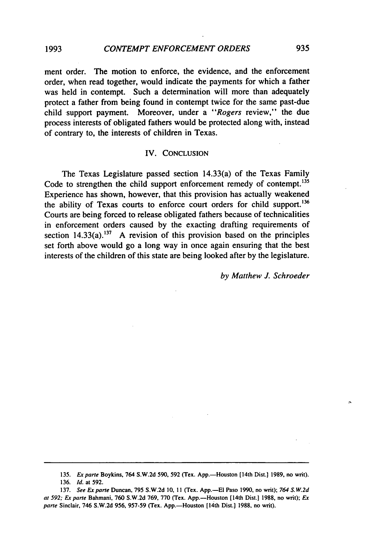ment order. The motion to enforce, the evidence, and the enforcement order, when read together, would indicate the payments for which a father was held in contempt. Such a determination will more than adequately protect a father from being found in contempt twice for the same past-due child support payment. Moreover, under a *"Rogers* review," the due process interests of obligated fathers would be protected along with, instead of contrary to, the interests of children in Texas.

#### IV. CONCLUSION

The Texas Legislature passed section 14.33(a) of the Texas Family Code to strengthen the child support enforcement remedy of contempt.<sup>135</sup> Experience has shown, however, that this provision has actually weakened the ability of Texas courts to enforce court orders for child support.<sup>136</sup> Courts are being forced to release obligated fathers because of technicalities in enforcement orders caused by the exacting drafting requirements of section  $14.33(a)$ .<sup>137</sup> A revision of this provision based on the principles set forth above would go a long way in once again ensuring that the best interests of the children of this state are being looked after by the legislature.

*by Matthew J. Schroeder*

**1993**

<sup>135.</sup> *Ex parte* **Boykins,** 764 **S.W.2d 590,** 592 **(Tex.** App.-Houston [14th Dist.] **1989,** no writ).

**<sup>136.</sup> Id.** at **592.**

**<sup>137.</sup>** See Expare Duncan, **795 S.W.2d 10, 11** (Tex. **App.-El** Paso **1990,** no writ); *764 S.W.2d at* **592;** Ex *parte* Bahmani, **760 S.W.2d 769, 770** (Tex. App.-Houston [14th Dist.] **1988,** no writ); *Ex pare* Sinclair, 746 **S.W.2d 956, 957-59** (Tex. App.-Houston [14th Dist.] **1988,** no writ).